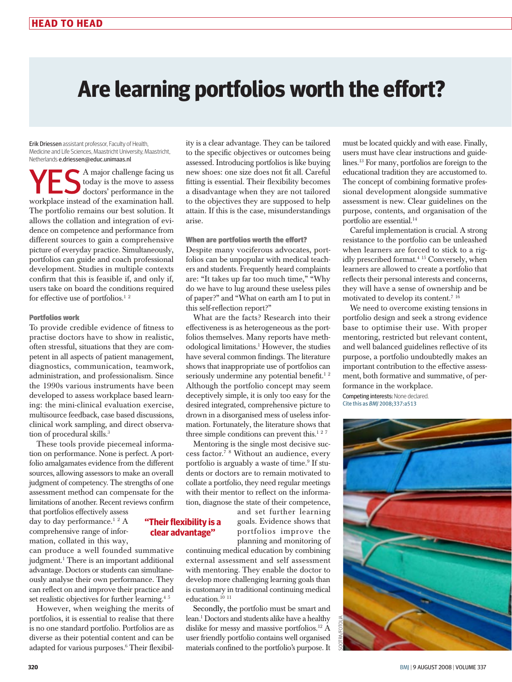# **Are learning portfolios worth the effort?**

Erik Driessen assistant professor, Faculty of Health, Medicine and Life Sciences, Maastricht University, Maastricht, Netherlands e.driessen@educ.unimaas.nl

A major challenge facing us today is the move to assess doctors' performance in the workplace instead of the examination hall. The portfolio remains our best solution. It allows the collation and integration of evidence on competence and performance from different sources to gain a comprehensive picture of everyday practice. Simultaneously, portfolios can guide and coach professional development. Studies in multiple contexts confirm that this is feasible if, and only if, users take on board the conditions required for effective use of portfolios.<sup>12</sup>

# Portfolios work

To provide credible evidence of fitness to practise doctors have to show in realistic, often stressful, situations that they are competent in all aspects of patient management, diagnostics, communication, teamwork, administration, and professionalism. Since the 1990s various instruments have been developed to assess workplace based learning: the mini-clinical evaluation exercise, multisource feedback, case based discussions, clinical work sampling, and direct observation of procedural skills.<sup>3</sup>

These tools provide piecemeal information on performance. None is perfect. A portfolio amalgamates evidence from the different sources, allowing assessors to make an overall judgment of competency. The strengths of one assessment method can compensate for the limitations of another. Recent reviews confirm

that portfolios effectively assess day to day performance.<sup>12</sup> A comprehensive range of information, collated in this way,

can produce a well founded summative judgment.1 There is an important additional advantage. Doctors or students can simultaneously analyse their own performance. They can reflect on and improve their practice and set realistic objectives for further learning.<sup>45</sup>

However, when weighing the merits of portfolios, it is essential to realise that there is no one standard portfolio. Portfolios are as diverse as their potential content and can be adapted for various purposes.<sup>6</sup> Their flexibility is a clear advantage. They can be tailored to the specific objectives or outcomes being assessed. Introducing portfolios is like buying new shoes: one size does not fit all. Careful fitting is essential. Their flexibility becomes a disadvantage when they are not tailored to the objectives they are supposed to help attain. If this is the case, misunderstandings arise.

# When are portfolios worth the effort?

Despite many vociferous advocates, portfolios can be unpopular with medical teachers and students. Frequently heard complaints are: "It takes up far too much time," "Why do we have to lug around these useless piles of paper?" and "What on earth am I to put in this self-reflection report?"

What are the facts? Research into their effectiveness is as heterogeneous as the portfolios themselves. Many reports have methodological limitations.1 However, the studies have several common findings. The literature shows that inappropriate use of portfolios can seriously undermine any potential benefit.<sup>12</sup> Although the portfolio concept may seem deceptively simple, it is only too easy for the desired integrated, comprehensive picture to drown in a disorganised mess of useless information. Fortunately, the literature shows that three simple conditions can prevent this.<sup>127</sup>

Mentoring is the single most decisive success factor.7 <sup>8</sup> Without an audience, every portfolio is arguably a waste of time.<sup>9</sup> If students or doctors are to remain motivated to collate a portfolio, they need regular meetings with their mentor to reflect on the information, diagnose the state of their competence,

**"Their flexibility is a clear advantage"** 

and set further learning goals. Evidence shows that portfolios improve the planning and monitoring of

continuing medical education by combining external assessment and self assessment with mentoring. They enable the doctor to develop more challenging learning goals than is customary in traditional continuing medical education.<sup>10</sup><sup>11</sup>

Secondly, the portfolio must be smart and lean*.* 1 Doctors and students alike have a healthy dislike for messy and massive portfolios.12 A user friendly portfolio contains well organised materials confined to the portfolio's purpose. It

must be located quickly and with ease. Finally, users must have clear instructions and guidelines.13 For many, portfolios are foreign to the educational tradition they are accustomed to. The concept of combining formative professional development alongside summative assessment is new. Clear guidelines on the purpose, contents, and organisation of the portfolio are essential.14

Careful implementation is crucial. A strong resistance to the portfolio can be unleashed when learners are forced to stick to a rigidly prescribed format.4 15 Conversely, when learners are allowed to create a portfolio that reflects their personal interests and concerns, they will have a sense of ownership and be motivated to develop its content.7 <sup>16</sup>

We need to overcome existing tensions in portfolio design and seek a strong evidence base to optimise their use. With proper mentoring, restricted but relevant content, and well balanced guidelines reflective of its purpose, a portfolio undoubtedly makes an important contribution to the effective assessment, both formative and summative, of performance in the workplace.

Competing interests: None declared. Cite this as *BMJ* 2008;337:a513